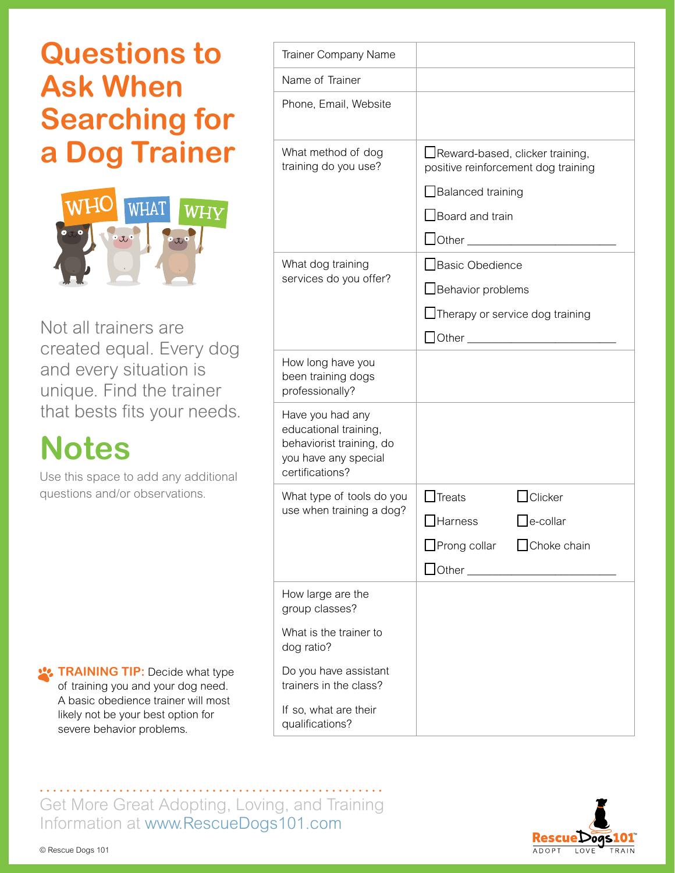## **Questions to Ask When Searching for a Dog Trainer**



Not all trainers are created equal. Every dog and every situation is unique. Find the trainer that bests fits your needs.

## **Notes**

Use this space to add any additional questions and/or observations.

**TRAINING TIP:** Decide what type of training you and your dog need. A basic obedience trainer will most likely not be your best option for severe behavior problems.

| <b>Trainer Company Name</b>                                                                                      |                                                                          |                |
|------------------------------------------------------------------------------------------------------------------|--------------------------------------------------------------------------|----------------|
| Name of Trainer                                                                                                  |                                                                          |                |
| Phone, Email, Website                                                                                            |                                                                          |                |
| What method of dog<br>training do you use?                                                                       | □ Reward-based, clicker training,<br>positive reinforcement dog training |                |
|                                                                                                                  | $\Box$ Balanced training                                                 |                |
|                                                                                                                  | Board and train                                                          |                |
|                                                                                                                  | $\Box$ Other                                                             |                |
| What dog training<br>services do you offer?                                                                      | Basic Obedience                                                          |                |
|                                                                                                                  | Behavior problems                                                        |                |
|                                                                                                                  | $\Box$ Therapy or service dog training                                   |                |
|                                                                                                                  | Other ____________________                                               |                |
| How long have you<br>been training dogs<br>professionally?                                                       |                                                                          |                |
| Have you had any<br>educational training,<br>behaviorist training, do<br>you have any special<br>certifications? |                                                                          |                |
| What type of tools do you<br>use when training a dog?                                                            | <b>Treats</b>                                                            | $\Box$ Clicker |
|                                                                                                                  | <b>Harness</b>                                                           | e-collar       |
|                                                                                                                  | □Prong collar □ Choke chain                                              |                |
|                                                                                                                  | $\Box$ Other $\Box$ Other $\Box$                                         |                |
| How large are the<br>group classes?                                                                              |                                                                          |                |
| What is the trainer to<br>dog ratio?                                                                             |                                                                          |                |
| Do you have assistant<br>trainers in the class?                                                                  |                                                                          |                |
| If so, what are their<br>qualifications?                                                                         |                                                                          |                |

Get More Great Adopting, Loving, and Training Information at [www.RescueDogs101.com](https://www.RescueDogs101.com)